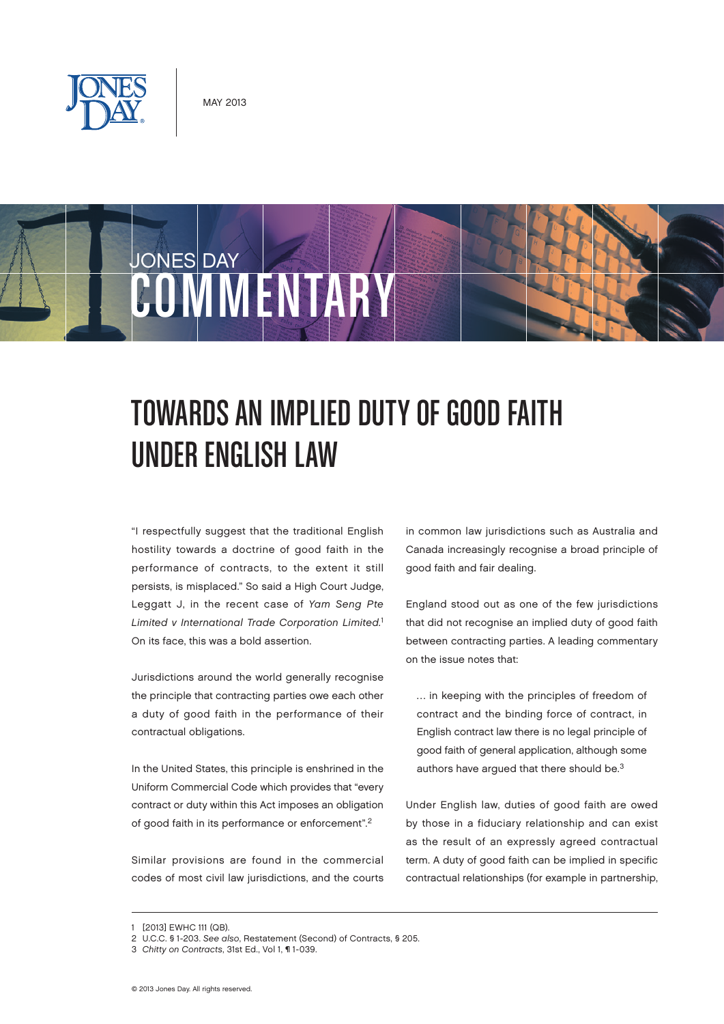

# JONES DAY OMMENTAR

# Towards an Implied Duty of Good Faith Under English Law

"I respectfully suggest that the traditional English hostility towards a doctrine of good faith in the performance of contracts, to the extent it still persists, is misplaced." So said a High Court Judge, Leggatt J, in the recent case of Yam Seng Pte Limited v International Trade Corporation Limited.<sup>1</sup> On its face, this was a bold assertion.

Jurisdictions around the world generally recognise the principle that contracting parties owe each other a duty of good faith in the performance of their contractual obligations.

In the United States, this principle is enshrined in the Uniform Commercial Code which provides that "every contract or duty within this Act imposes an obligation of good faith in its performance or enforcement".2

Similar provisions are found in the commercial codes of most civil law jurisdictions, and the courts

in common law jurisdictions such as Australia and Canada increasingly recognise a broad principle of good faith and fair dealing.

England stood out as one of the few jurisdictions that did not recognise an implied duty of good faith between contracting parties. A leading commentary on the issue notes that:

… in keeping with the principles of freedom of contract and the binding force of contract, in English contract law there is no legal principle of good faith of general application, although some authors have argued that there should be.3

Under English law, duties of good faith are owed by those in a fiduciary relationship and can exist as the result of an expressly agreed contractual term. A duty of good faith can be implied in specific contractual relationships (for example in partnership,

<sup>1</sup> [2013] EWHC 111 (QB).

<sup>2</sup> U.C.C. § 1-203. See also, Restatement (Second) of Contracts, § 205.

<sup>3</sup> Chitty on Contracts, 31st Ed., Vol 1, ¶ 1-039.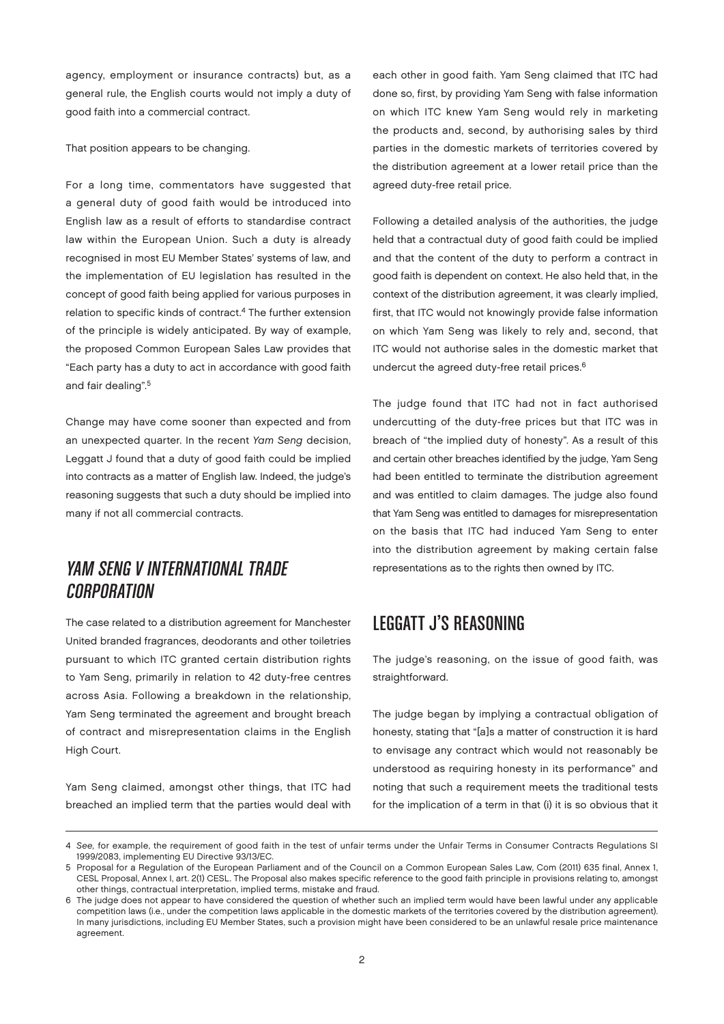agency, employment or insurance contracts) but, as a general rule, the English courts would not imply a duty of good faith into a commercial contract.

That position appears to be changing.

For a long time, commentators have suggested that a general duty of good faith would be introduced into English law as a result of efforts to standardise contract law within the European Union. Such a duty is already recognised in most EU Member States' systems of law, and the implementation of EU legislation has resulted in the concept of good faith being applied for various purposes in relation to specific kinds of contract.<sup>4</sup> The further extension of the principle is widely anticipated. By way of example, the proposed Common European Sales Law provides that "Each party has a duty to act in accordance with good faith and fair dealing".5

Change may have come sooner than expected and from an unexpected quarter. In the recent Yam Seng decision, Leggatt J found that a duty of good faith could be implied into contracts as a matter of English law. Indeed, the judge's reasoning suggests that such a duty should be implied into many if not all commercial contracts.

#### Yam Seng v International Trade **CORPORATION**

The case related to a distribution agreement for Manchester United branded fragrances, deodorants and other toiletries pursuant to which ITC granted certain distribution rights to Yam Seng, primarily in relation to 42 duty-free centres across Asia. Following a breakdown in the relationship, Yam Seng terminated the agreement and brought breach of contract and misrepresentation claims in the English High Court.

Yam Seng claimed, amongst other things, that ITC had breached an implied term that the parties would deal with

each other in good faith. Yam Seng claimed that ITC had done so, first, by providing Yam Seng with false information on which ITC knew Yam Seng would rely in marketing the products and, second, by authorising sales by third parties in the domestic markets of territories covered by the distribution agreement at a lower retail price than the agreed duty-free retail price.

Following a detailed analysis of the authorities, the judge held that a contractual duty of good faith could be implied and that the content of the duty to perform a contract in good faith is dependent on context. He also held that, in the context of the distribution agreement, it was clearly implied, first, that ITC would not knowingly provide false information on which Yam Seng was likely to rely and, second, that ITC would not authorise sales in the domestic market that undercut the agreed duty-free retail prices.<sup>6</sup>

The judge found that ITC had not in fact authorised undercutting of the duty-free prices but that ITC was in breach of "the implied duty of honesty". As a result of this and certain other breaches identified by the judge, Yam Seng had been entitled to terminate the distribution agreement and was entitled to claim damages. The judge also found that Yam Seng was entitled to damages for misrepresentation on the basis that ITC had induced Yam Seng to enter into the distribution agreement by making certain false representations as to the rights then owned by ITC.

#### Leggatt J's Reasoning

The judge's reasoning, on the issue of good faith, was straightforward.

The judge began by implying a contractual obligation of honesty, stating that "[a]s a matter of construction it is hard to envisage any contract which would not reasonably be understood as requiring honesty in its performance" and noting that such a requirement meets the traditional tests for the implication of a term in that (i) it is so obvious that it

<sup>4</sup> See, for example, the requirement of good faith in the test of unfair terms under the Unfair Terms in Consumer Contracts Regulations SI 1999/2083, implementing EU Directive 93/13/EC.

<sup>5</sup> Proposal for a Regulation of the European Parliament and of the Council on a Common European Sales Law, Com (2011) 635 final, Annex 1, CESL Proposal, Annex I, art. 2(1) CESL. The Proposal also makes specific reference to the good faith principle in provisions relating to, amongst other things, contractual interpretation, implied terms, mistake and fraud.

<sup>6</sup> The judge does not appear to have considered the question of whether such an implied term would have been lawful under any applicable competition laws (i.e., under the competition laws applicable in the domestic markets of the territories covered by the distribution agreement). In many jurisdictions, including EU Member States, such a provision might have been considered to be an unlawful resale price maintenance agreement.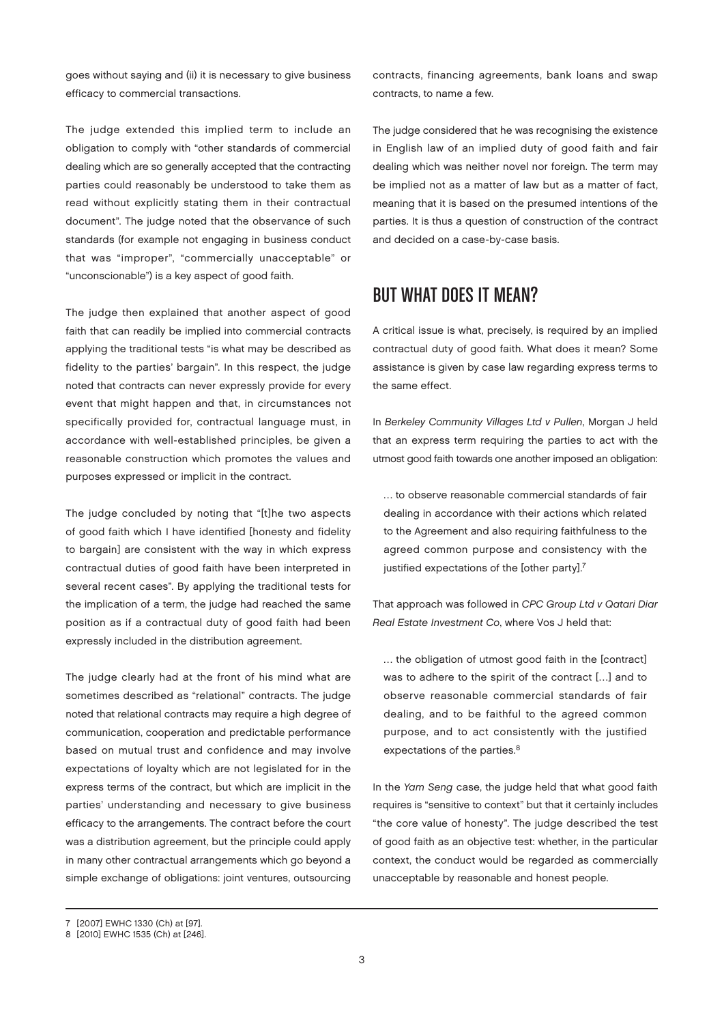goes without saying and (ii) it is necessary to give business efficacy to commercial transactions.

The judge extended this implied term to include an obligation to comply with "other standards of commercial dealing which are so generally accepted that the contracting parties could reasonably be understood to take them as read without explicitly stating them in their contractual document". The judge noted that the observance of such standards (for example not engaging in business conduct that was "improper", "commercially unacceptable" or "unconscionable") is a key aspect of good faith.

The judge then explained that another aspect of good faith that can readily be implied into commercial contracts applying the traditional tests "is what may be described as fidelity to the parties' bargain". In this respect, the judge noted that contracts can never expressly provide for every event that might happen and that, in circumstances not specifically provided for, contractual language must, in accordance with well-established principles, be given a reasonable construction which promotes the values and purposes expressed or implicit in the contract.

The judge concluded by noting that "[t]he two aspects of good faith which I have identified [honesty and fidelity to bargain] are consistent with the way in which express contractual duties of good faith have been interpreted in several recent cases". By applying the traditional tests for the implication of a term, the judge had reached the same position as if a contractual duty of good faith had been expressly included in the distribution agreement.

The judge clearly had at the front of his mind what are sometimes described as "relational" contracts. The judge noted that relational contracts may require a high degree of communication, cooperation and predictable performance based on mutual trust and confidence and may involve expectations of loyalty which are not legislated for in the express terms of the contract, but which are implicit in the parties' understanding and necessary to give business efficacy to the arrangements. The contract before the court was a distribution agreement, but the principle could apply in many other contractual arrangements which go beyond a simple exchange of obligations: joint ventures, outsourcing

contracts, financing agreements, bank loans and swap contracts, to name a few.

The judge considered that he was recognising the existence in English law of an implied duty of good faith and fair dealing which was neither novel nor foreign. The term may be implied not as a matter of law but as a matter of fact, meaning that it is based on the presumed intentions of the parties. It is thus a question of construction of the contract and decided on a case-by-case basis.

#### But what does it mean?

A critical issue is what, precisely, is required by an implied contractual duty of good faith. What does it mean? Some assistance is given by case law regarding express terms to the same effect.

In Berkeley Community Villages Ltd v Pullen, Morgan J held that an express term requiring the parties to act with the utmost good faith towards one another imposed an obligation:

… to observe reasonable commercial standards of fair dealing in accordance with their actions which related to the Agreement and also requiring faithfulness to the agreed common purpose and consistency with the justified expectations of the [other party].<sup>7</sup>

That approach was followed in CPC Group Ltd v Qatari Diar Real Estate Investment Co, where Vos J held that:

… the obligation of utmost good faith in the [contract] was to adhere to the spirit of the contract […] and to observe reasonable commercial standards of fair dealing, and to be faithful to the agreed common purpose, and to act consistently with the justified expectations of the parties.<sup>8</sup>

In the Yam Seng case, the judge held that what good faith requires is "sensitive to context" but that it certainly includes "the core value of honesty". The judge described the test of good faith as an objective test: whether, in the particular context, the conduct would be regarded as commercially unacceptable by reasonable and honest people.

<sup>7</sup> [2007] EWHC 1330 (Ch) at [97].

<sup>8</sup> [2010] EWHC 1535 (Ch) at [246].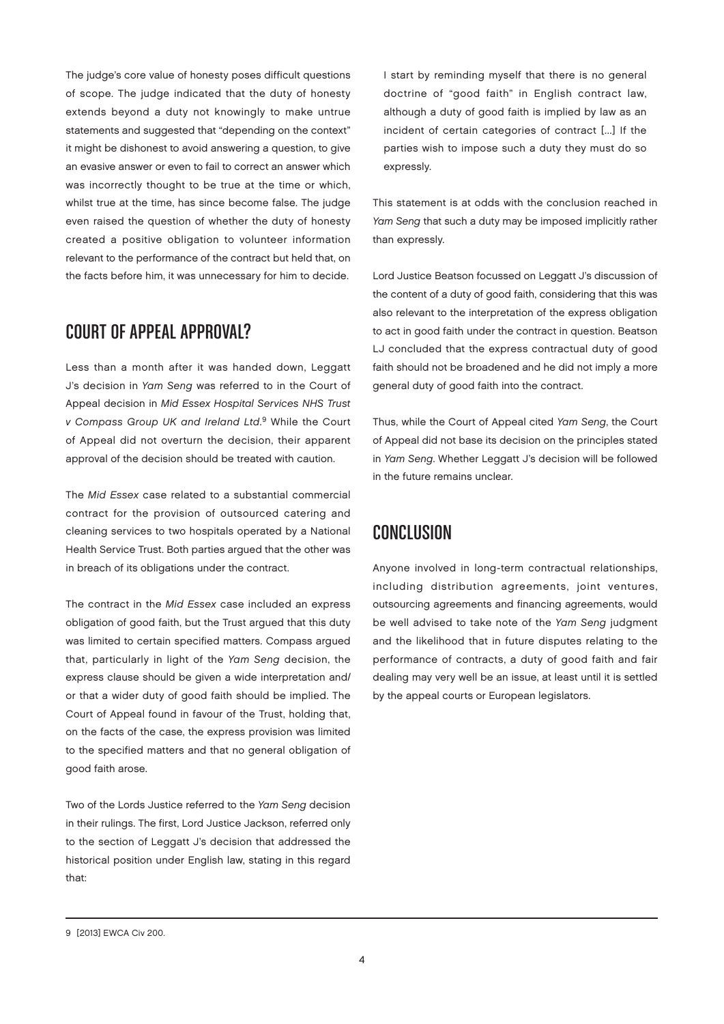The judge's core value of honesty poses difficult questions of scope. The judge indicated that the duty of honesty extends beyond a duty not knowingly to make untrue statements and suggested that "depending on the context" it might be dishonest to avoid answering a question, to give an evasive answer or even to fail to correct an answer which was incorrectly thought to be true at the time or which, whilst true at the time, has since become false. The judge even raised the question of whether the duty of honesty created a positive obligation to volunteer information relevant to the performance of the contract but held that, on the facts before him, it was unnecessary for him to decide.

#### COURT OF APPFAL APPROVAL?

Less than a month after it was handed down, Leggatt J's decision in Yam Seng was referred to in the Court of Appeal decision in Mid Essex Hospital Services NHS Trust v Compass Group UK and Ireland Ltd. 9 While the Court of Appeal did not overturn the decision, their apparent approval of the decision should be treated with caution.

The Mid Essex case related to a substantial commercial contract for the provision of outsourced catering and cleaning services to two hospitals operated by a National Health Service Trust. Both parties argued that the other was in breach of its obligations under the contract.

The contract in the Mid Essex case included an express obligation of good faith, but the Trust argued that this duty was limited to certain specified matters. Compass argued that, particularly in light of the Yam Seng decision, the express clause should be given a wide interpretation and/ or that a wider duty of good faith should be implied. The Court of Appeal found in favour of the Trust, holding that, on the facts of the case, the express provision was limited to the specified matters and that no general obligation of good faith arose.

Two of the Lords Justice referred to the Yam Seng decision in their rulings. The first, Lord Justice Jackson, referred only to the section of Leggatt J's decision that addressed the historical position under English law, stating in this regard that:

I start by reminding myself that there is no general doctrine of "good faith" in English contract law, although a duty of good faith is implied by law as an incident of certain categories of contract [...] If the parties wish to impose such a duty they must do so expressly.

This statement is at odds with the conclusion reached in Yam Seng that such a duty may be imposed implicitly rather than expressly.

Lord Justice Beatson focussed on Leggatt J's discussion of the content of a duty of good faith, considering that this was also relevant to the interpretation of the express obligation to act in good faith under the contract in question. Beatson LJ concluded that the express contractual duty of good faith should not be broadened and he did not imply a more general duty of good faith into the contract.

Thus, while the Court of Appeal cited Yam Seng, the Court of Appeal did not base its decision on the principles stated in Yam Seng. Whether Leggatt J's decision will be followed in the future remains unclear.

### Conclusion

Anyone involved in long-term contractual relationships, including distribution agreements, joint ventures, outsourcing agreements and financing agreements, would be well advised to take note of the Yam Seng judgment and the likelihood that in future disputes relating to the performance of contracts, a duty of good faith and fair dealing may very well be an issue, at least until it is settled by the appeal courts or European legislators.

<sup>9</sup> [2013] EWCA Civ 200.